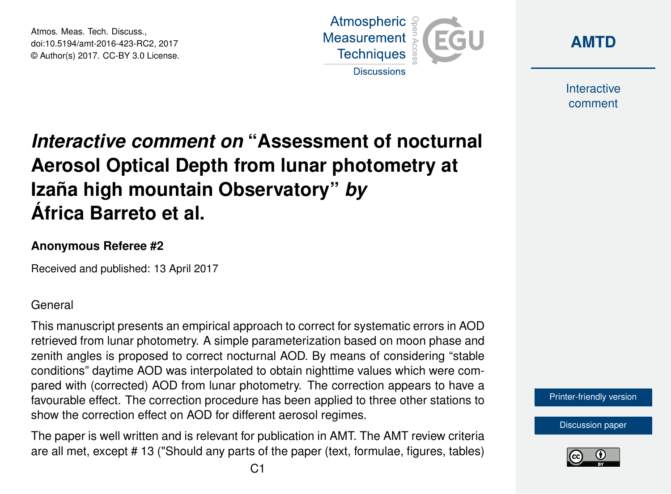Atmos. Meas. Tech. Discuss., doi:10.5194/amt-2016-423-RC2, 2017 © Author(s) 2017. CC-BY 3.0 License.





Interactive comment

## *Interactive comment on* **"Assessment of nocturnal Aerosol Optical Depth from lunar photometry at Izaña high mountain Observatory"** *by* **África Barreto et al.**

## **Anonymous Referee #2**

Received and published: 13 April 2017

## General

This manuscript presents an empirical approach to correct for systematic errors in AOD retrieved from lunar photometry. A simple parameterization based on moon phase and zenith angles is proposed to correct nocturnal AOD. By means of considering "stable conditions" daytime AOD was interpolated to obtain nighttime values which were compared with (corrected) AOD from lunar photometry. The correction appears to have a favourable effect. The correction procedure has been applied to three other stations to show the correction effect on AOD for different aerosol regimes.

The paper is well written and is relevant for publication in AMT. The AMT review criteria are all met, except # 13 ("Should any parts of the paper (text, formulae, figures, tables)



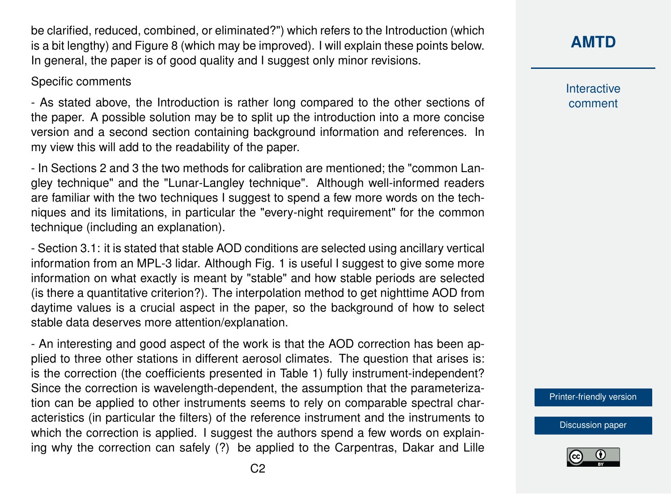be clarified, reduced, combined, or eliminated?") which refers to the Introduction (which is a bit lengthy) and Figure 8 (which may be improved). I will explain these points below. In general, the paper is of good quality and I suggest only minor revisions.

## Specific comments

- As stated above, the Introduction is rather long compared to the other sections of the paper. A possible solution may be to split up the introduction into a more concise version and a second section containing background information and references. In my view this will add to the readability of the paper.

- In Sections 2 and 3 the two methods for calibration are mentioned; the "common Langley technique" and the "Lunar-Langley technique". Although well-informed readers are familiar with the two techniques I suggest to spend a few more words on the techniques and its limitations, in particular the "every-night requirement" for the common technique (including an explanation).

- Section 3.1: it is stated that stable AOD conditions are selected using ancillary vertical information from an MPL-3 lidar. Although Fig. 1 is useful I suggest to give some more information on what exactly is meant by "stable" and how stable periods are selected (is there a quantitative criterion?). The interpolation method to get nighttime AOD from daytime values is a crucial aspect in the paper, so the background of how to select stable data deserves more attention/explanation.

- An interesting and good aspect of the work is that the AOD correction has been applied to three other stations in different aerosol climates. The question that arises is: is the correction (the coefficients presented in Table 1) fully instrument-independent? Since the correction is wavelength-dependent, the assumption that the parameterization can be applied to other instruments seems to rely on comparable spectral characteristics (in particular the filters) of the reference instrument and the instruments to which the correction is applied. I suggest the authors spend a few words on explaining why the correction can safely (?) be applied to the Carpentras, Dakar and Lille **[AMTD](http://www.atmos-meas-tech-discuss.net/)**

Interactive comment

[Printer-friendly version](http://www.atmos-meas-tech-discuss.net/amt-2016-423/amt-2016-423-RC2-print.pdf)

[Discussion paper](http://www.atmos-meas-tech-discuss.net/amt-2016-423)